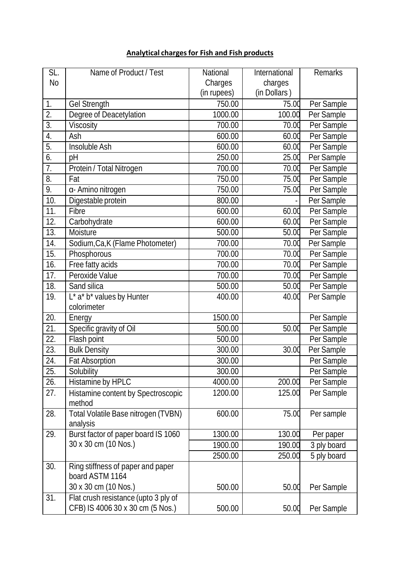## **Analytical chargesfor Fish and Fish products**

| SL.              | Name of Product / Test                                                   | National    | International | Remarks     |
|------------------|--------------------------------------------------------------------------|-------------|---------------|-------------|
| <b>No</b>        |                                                                          | Charges     | charges       |             |
|                  |                                                                          | (in rupees) | (in Dollars)  |             |
| 1.               | Gel Strength                                                             | 750.00      | 75.00         | Per Sample  |
| $\overline{2}$ . | Degree of Deacetylation                                                  | 1000.00     | 100.00        | Per Sample  |
| $\overline{3}$ . | Viscosity                                                                | 700.00      | 70.00         | Per Sample  |
| 4.               | Ash                                                                      | 600.00      | 60.00         | Per Sample  |
| $\overline{5}$ . | Insoluble Ash                                                            | 600.00      | 60.00         | Per Sample  |
| 6.               | pH                                                                       | 250.00      | 25.00         | Per Sample  |
| 7.               | Protein / Total Nitrogen                                                 | 700.00      | 70.00         | Per Sample  |
| 8.               | Fat                                                                      | 750.00      | 75.00         | Per Sample  |
| 9.               | a- Amino nitrogen                                                        | 750.00      | 75.0d         | Per Sample  |
| 10.              | Digestable protein                                                       | 800.00      |               | Per Sample  |
| 11.              | Fibre                                                                    | 600.00      | 60.00         | Per Sample  |
| 12.              | Carbohydrate                                                             | 600.00      | 60.00         | Per Sample  |
| 13.              | Moisture                                                                 | 500.00      | 50.00         | Per Sample  |
| 14.              | Sodium, Ca, K (Flame Photometer)                                         | 700.00      | 70.00         | Per Sample  |
| 15.              | Phosphorous                                                              | 700.00      | 70.00         | Per Sample  |
| 16.              | Free fatty acids                                                         | 700.00      | 70.00         | Per Sample  |
| 17.              | Peroxide Value                                                           | 700.00      | 70.00         | Per Sample  |
| 18.              | Sand silica                                                              | 500.00      | 50.00         | Per Sample  |
| 19.              | $L^*$ a* b* values by Hunter                                             | 400.00      | 40.00         | Per Sample  |
|                  | colorimeter                                                              |             |               |             |
| 20.              | Energy                                                                   | 1500.00     |               | Per Sample  |
| 21.              | Specific gravity of Oil                                                  | 500.00      | 50.00         | Per Sample  |
| 22.              | Flash point                                                              | 500.00      |               | Per Sample  |
| 23.              | <b>Bulk Density</b>                                                      | 300.00      | 30.00         | Per Sample  |
| 24.              | <b>Fat Absorption</b>                                                    | 300.00      |               | Per Sample  |
| 25.              | Solubility                                                               | 300.00      |               | Per Sample  |
| 26.              | Histamine by HPLC                                                        | 4000.00     | 200.00        | Per Sample  |
| 27.              | Histamine content by Spectroscopic<br>method                             | 1200.00     | 125.00        | Per Sample  |
| 28.              | Total Volatile Base nitrogen (TVBN)<br>analysis                          | 600.00      | 75.00         | Per sample  |
| 29.              | Burst factor of paper board IS 1060                                      | 1300.00     | 130.00        | Per paper   |
|                  | 30 x 30 cm (10 Nos.)                                                     | 1900.00     | 190.00        | 3 ply board |
|                  |                                                                          | 2500.00     | 250.00        | 5 ply board |
| 30.              | Ring stiffness of paper and paper<br>board ASTM 1164                     |             |               |             |
|                  | 30 x 30 cm (10 Nos.)                                                     | 500.00      | 50.00         | Per Sample  |
| 31.              | Flat crush resistance (upto 3 ply of<br>CFB) IS 4006 30 x 30 cm (5 Nos.) | 500.00      | 50.00         | Per Sample  |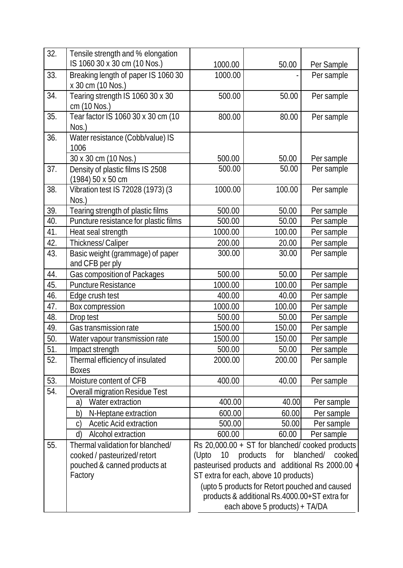| 32. | Tensile strength and % elongation                        |                                                                                                                                                                     |        |            |  |  |
|-----|----------------------------------------------------------|---------------------------------------------------------------------------------------------------------------------------------------------------------------------|--------|------------|--|--|
|     | IS 1060 30 x 30 cm (10 Nos.)                             | 1000.00                                                                                                                                                             | 50.00  | Per Sample |  |  |
| 33. | Breaking length of paper IS 1060 30<br>x 30 cm (10 Nos.) | 1000.00                                                                                                                                                             |        | Per sample |  |  |
| 34. | Tearing strength IS 1060 30 x 30<br>cm (10 Nos.)         | 500.00                                                                                                                                                              | 50.00  | Per sample |  |  |
| 35. | Tear factor IS 1060 30 x 30 cm (10<br>Nos.)              | 800.00                                                                                                                                                              | 80.00  | Per sample |  |  |
| 36. | Water resistance (Cobb/value) IS                         |                                                                                                                                                                     |        |            |  |  |
|     | 1006                                                     |                                                                                                                                                                     |        |            |  |  |
|     | 30 x 30 cm (10 Nos.)                                     | 500.00                                                                                                                                                              | 50.00  | Per sample |  |  |
| 37. | Density of plastic films IS 2508<br>(1984) 50 x 50 cm    | 500.00                                                                                                                                                              | 50.00  | Per sample |  |  |
| 38. | Vibration test IS 72028 (1973) (3<br>Nos.)               | 1000.00                                                                                                                                                             | 100.00 | Per sample |  |  |
| 39. | Tearing strength of plastic films                        | 500.00                                                                                                                                                              | 50.00  | Per sample |  |  |
| 40. | Puncture resistance for plastic films                    | 500.00                                                                                                                                                              | 50.00  | Per sample |  |  |
| 41. | Heat seal strength                                       | 1000.00                                                                                                                                                             | 100.00 | Per sample |  |  |
| 42. | Thickness/Caliper                                        | 200.00                                                                                                                                                              | 20.00  | Per sample |  |  |
| 43. | Basic weight (grammage) of paper<br>and CFB per ply      | 300.00                                                                                                                                                              | 30.00  | Per sample |  |  |
| 44. | Gas composition of Packages                              | 500.00                                                                                                                                                              | 50.00  | Per sample |  |  |
| 45. | <b>Puncture Resistance</b>                               | 1000.00                                                                                                                                                             | 100.00 | Per sample |  |  |
| 46. | Edge crush test                                          | 400.00                                                                                                                                                              | 40.00  | Per sample |  |  |
| 47. | Box compression                                          | 1000.00                                                                                                                                                             | 100.00 | Per sample |  |  |
| 48. | Drop test                                                | 500.00                                                                                                                                                              | 50.00  | Per sample |  |  |
| 49. | Gas transmission rate                                    | 1500.00                                                                                                                                                             | 150.00 | Per sample |  |  |
| 50. | Water vapour transmission rate                           | 1500.00                                                                                                                                                             | 150.00 | Per sample |  |  |
| 51. | Impact strength                                          | 500.00                                                                                                                                                              | 50.00  | Per sample |  |  |
| 52. | Thermal efficiency of insulated<br><b>Boxes</b>          | 2000.00                                                                                                                                                             | 200.00 | Per sample |  |  |
| 53. | Moisture content of CFB                                  | 400.00                                                                                                                                                              | 40.00  | Per sample |  |  |
| 54. | <b>Overall migration Residue Test</b>                    |                                                                                                                                                                     |        |            |  |  |
|     | Water extraction<br>a)                                   | 400.00                                                                                                                                                              | 40.00  | Per sample |  |  |
|     | N-Heptane extraction<br>b)                               | 600.00                                                                                                                                                              | 60.00  | Per sample |  |  |
|     | <b>Acetic Acid extraction</b><br>$\mathcal{C}$           | 500.00                                                                                                                                                              | 50.00  | Per sample |  |  |
|     | Alcohol extraction<br>d)                                 | 600.00                                                                                                                                                              | 60.00  | Per sample |  |  |
| 55. | Thermal validation for blanched/                         |                                                                                                                                                                     |        |            |  |  |
|     | cooked / pasteurized/retort                              | Rs $20,000.00 + ST$ for blanched/cooked products<br>blanched/ cooked.<br>(Upto<br>10 <sup>°</sup><br>products for<br>pasteurised products and additional Rs 2000.00 |        |            |  |  |
|     | pouched & canned products at                             |                                                                                                                                                                     |        |            |  |  |
|     | Factory                                                  | ST extra for each, above 10 products)                                                                                                                               |        |            |  |  |
|     |                                                          | (upto 5 products for Retort pouched and caused                                                                                                                      |        |            |  |  |
|     |                                                          | products & additional Rs.4000.00+ST extra for                                                                                                                       |        |            |  |  |
|     |                                                          | each above 5 products) + TA/DA                                                                                                                                      |        |            |  |  |